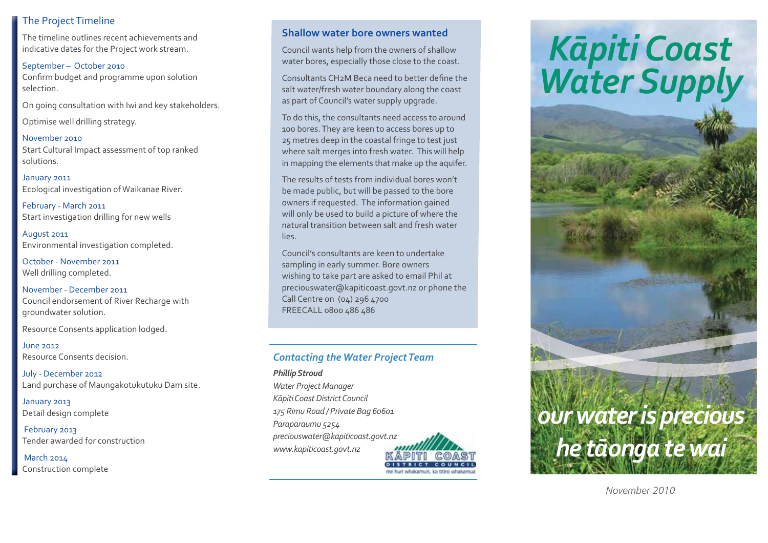# The Project Timeline

The timeline outlines recent achievements and indicative dates for the Project work stream.

September – October 2010 Confirm budget and programme upon solution selection.

On going consultation with Iwi and key stakeholders.

Optimise well drilling strategy.

November 2010 Start Cultural Impact assessment of top ranked solutions.

January 2011 Ecological investigation of Waikanae River.

February - March 2011 Start investigation drilling for new wells

August 2011 Environmental investigation completed.

October - November 2011 Well drilling completed.

November - December 2011Council endorsement of River Recharge with groundwater solution.

Resource Consents application lodged.

June 2012Resource Consents decision.

July - December 2012 Land purchase of Maungakotukutuku Dam site.

January 2013 Detail design complete

 February 2013 Tender awarded for construction

March 2014 Construction complete

## **Shallow water bore owners wanted**

Council wants help from the owners of shallow water bores, especially those close to the coast.

Consultants CH2M Beca need to better define the salt water/fresh water boundary along the coast as part of Council's water supply upgrade.

To do this, the consultants need access to around 100 bores. They are keen to access bores up to 25 metres deep in the coastal fringe to test just where salt merges into fresh water. This will help in mapping the elements that make up the aquifer.

The results of tests from individual bores won't be made public, but will be passed to the bore owners if requested. The information gained will only be used to build a picture of where the natural transition between salt and fresh water lies.

Council's consultants are keen to undertake sampling in early summer. Bore owners wishing to take part are asked to email Phil at preciouswater@kapiticoast.govt.nz or phone the Call Centre on (04) 296 4700 FREECALL 0800 486 486

# *Contacting the Water Project Team*

*Phillip Stroud Water Project Manager K-piti Coast District Council 175 Rimu Road / Private Bag 60601 Paraparaumu 5254 preciouswater@kapiticoast.govt.nz www.kapiticoast.govt.nz*



# *K-<sup>p</sup>iti Coast Water Supply*



*November 2010*